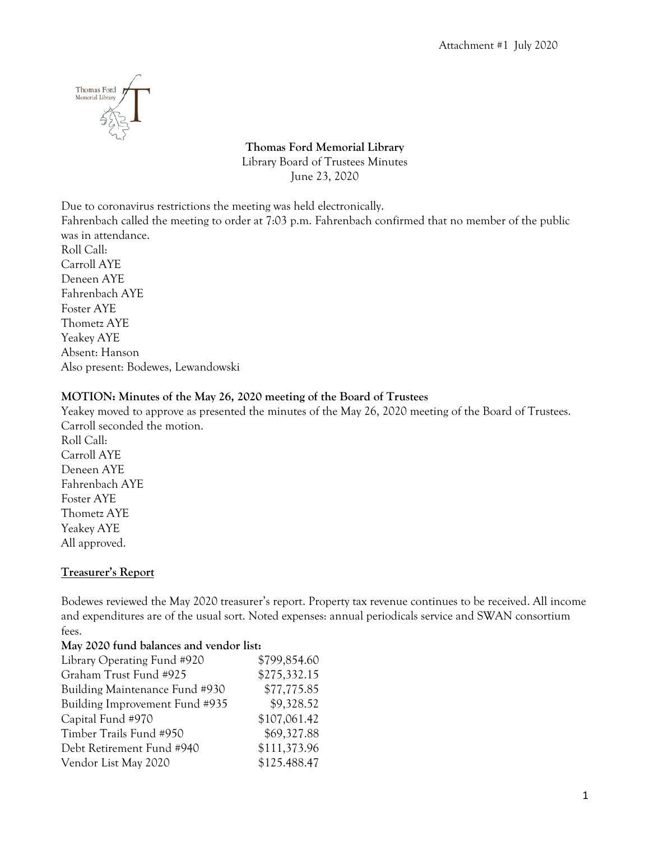

# **Thomas Ford Memorial Library** Library Board of Trustees Minutes June 23, 2020

Due to coronavirus restrictions the meeting was held electronically.

Fahrenbach called the meeting to order at 7:03 p.m. Fahrenbach confirmed that no member of the public was in attendance.

Roll Call: Carroll AYE Deneen AYE Fahrenbach AYE Foster AYE Thometz AYE Yeakey AYE Absent: Hanson Also present: Bodewes, Lewandowski

### **MOTION: Minutes of the May 26, 2020 meeting of the Board of Trustees**

Yeakey moved to approve as presented the minutes of the May 26, 2020 meeting of the Board of Trustees. Carroll seconded the motion. Roll Call: Carroll AYE Deneen AYE Fahrenbach AYE Foster AYE Thometz AYE Yeakey AYE All approved.

## **Treasurer's Report**

Bodewes reviewed the May 2020 treasurer's report. Property tax revenue continues to be received. All income and expenditures are of the usual sort. Noted expenses: annual periodicals service and SWAN consortium fees.

### **May 2020 fund balances and vendor list:**

| \$799,854.60 |
|--------------|
| \$275,332.15 |
| \$77,775.85  |
| \$9,328.52   |
| \$107,061.42 |
| \$69,327.88  |
| \$111,373.96 |
| \$125.488.47 |
|              |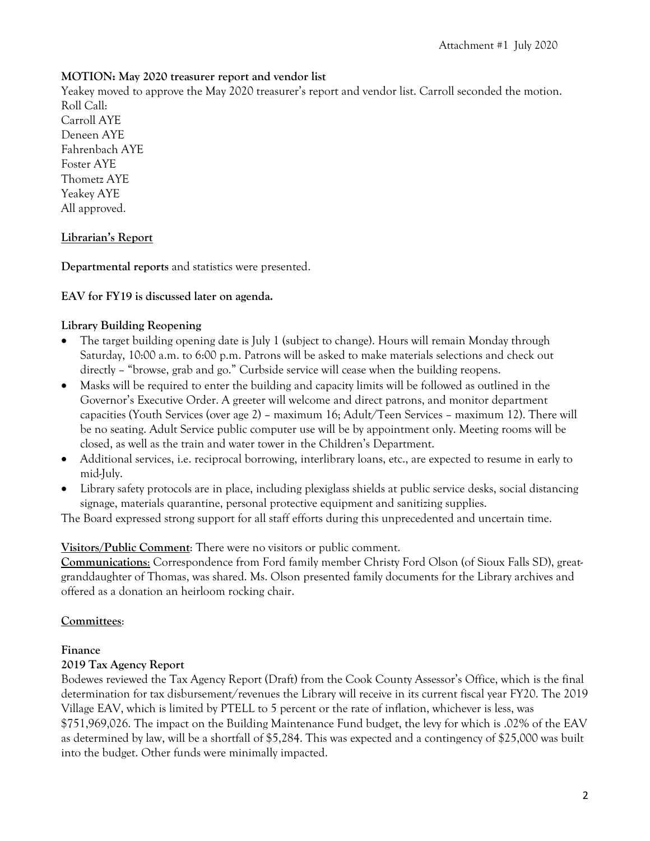### **MOTION: May 2020 treasurer report and vendor list**

Yeakey moved to approve the May 2020 treasurer's report and vendor list. Carroll seconded the motion. Roll Call:

Carroll AYE Deneen AYE Fahrenbach AYE Foster AYE Thometz AYE Yeakey AYE All approved.

### **Librarian's Report**

**Departmental reports** and statistics were presented.

### **EAV for FY19 is discussed later on agenda.**

### **Library Building Reopening**

- The target building opening date is July 1 (subject to change). Hours will remain Monday through Saturday, 10:00 a.m. to 6:00 p.m. Patrons will be asked to make materials selections and check out directly – "browse, grab and go." Curbside service will cease when the building reopens.
- Masks will be required to enter the building and capacity limits will be followed as outlined in the Governor's Executive Order. A greeter will welcome and direct patrons, and monitor department capacities (Youth Services (over age 2) – maximum 16; Adult/Teen Services – maximum 12). There will be no seating. Adult Service public computer use will be by appointment only. Meeting rooms will be closed, as well as the train and water tower in the Children's Department.
- Additional services, i.e. reciprocal borrowing, interlibrary loans, etc., are expected to resume in early to mid-July.
- Library safety protocols are in place, including plexiglass shields at public service desks, social distancing signage, materials quarantine, personal protective equipment and sanitizing supplies.

The Board expressed strong support for all staff efforts during this unprecedented and uncertain time.

## **Visitors/Public Comment**: There were no visitors or public comment.

**Communications**: Correspondence from Ford family member Christy Ford Olson (of Sioux Falls SD), greatgranddaughter of Thomas, was shared. Ms. Olson presented family documents for the Library archives and offered as a donation an heirloom rocking chair.

## **Committees**:

### **Finance**

### **2019 Tax Agency Report**

Bodewes reviewed the Tax Agency Report (Draft) from the Cook County Assessor's Office, which is the final determination for tax disbursement/revenues the Library will receive in its current fiscal year FY20. The 2019 Village EAV, which is limited by PTELL to 5 percent or the rate of inflation, whichever is less, was \$751,969,026. The impact on the Building Maintenance Fund budget, the levy for which is .02% of the EAV as determined by law, will be a shortfall of \$5,284. This was expected and a contingency of \$25,000 was built into the budget. Other funds were minimally impacted.